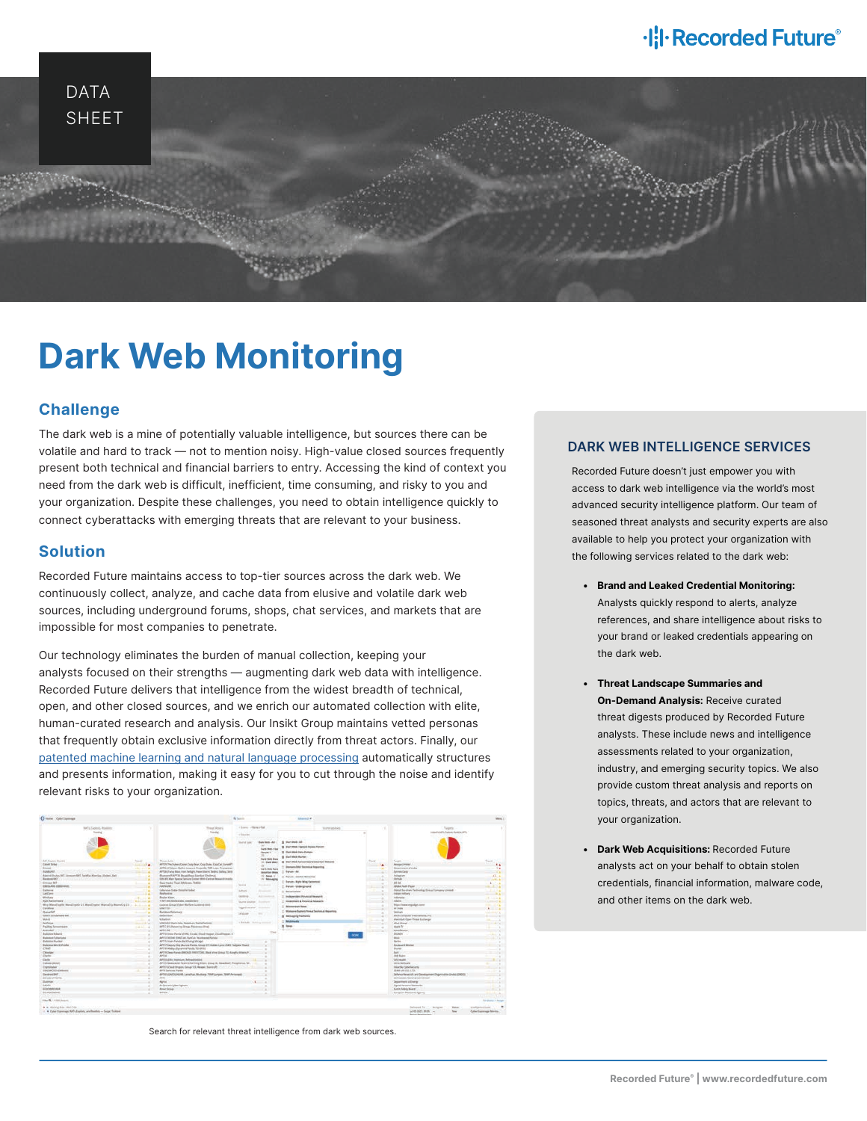# ·l: **I** Recorded Future®



# **Dark Web Monitoring**

# **Challenge**

The dark web is a mine of potentially valuable intelligence, but sources there can be volatile and hard to track — not to mention noisy. High-value closed sources frequently present both technical and financial barriers to entry. Accessing the kind of context you need from the dark web is difficult, inefficient, time consuming, and risky to you and your organization. Despite these challenges, you need to obtain intelligence quickly to connect cyberattacks with emerging threats that are relevant to your business.

# **Solution**

Recorded Future maintains access to top-tier sources across the dark web. We continuously collect, analyze, and cache data from elusive and volatile dark web sources, including underground forums, shops, chat services, and markets that are impossible for most companies to penetrate.

Our technology eliminates the burden of manual collection, keeping your analysts focused on their strengths — augmenting dark web data with intelligence. Recorded Future delivers that intelligence from the widest breadth of technical, open, and other closed sources, and we enrich our automated collection with elite, human-curated research and analysis. Our Insikt Group maintains vetted personas that frequently obtain exclusive information directly from threat actors. Finally, our [patented machine learning and natural language processing](https://go.recordedfuture.com/security-intelligence-graph) automatically structures and presents information, making it easy for you to cut through the noise and identify relevant risks to your organization.



Search for relevant threat intelligence from dark web sources.

## **DARK WEB INTELLIGENCE SERVICES**

Recorded Future doesn't just empower you with access to dark web intelligence via the world's most advanced security intelligence platform. Our team of seasoned threat analysts and security experts are also available to help you protect your organization with the following services related to the dark web:

- **• Brand and Leaked Credential Monitoring:** Analysts quickly respond to alerts, analyze references, and share intelligence about risks to your brand or leaked credentials appearing on the dark web.
- **• Threat Landscape Summaries and On-Demand Analysis:** Receive curated threat digests produced by Recorded Future analysts. These include news and intelligence assessments related to your organization, industry, and emerging security topics. We also provide custom threat analysis and reports on topics, threats, and actors that are relevant to your organization.
- **• Dark Web Acquisitions:** Recorded Future analysts act on your behalf to obtain stolen credentials, financial information, malware code, and other items on the dark web.